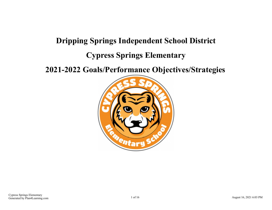# **Dripping Springs Independent School District Cypress Springs Elementary**

**2021-2022 Goals/Performance Objectives/Strategies**

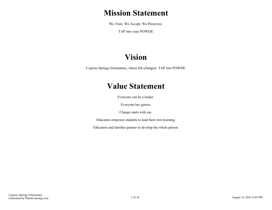## **Mission Statement**

We Trust. We Accept. We Persevere.

TAP into your POWER!

# **Vision**

Cypress Springs Elementary, where life-changers TAP into POWER.

## **Value Statement**

Everyone can be a leader.

Everyone has genius.

Change starts with me.

Educators empower students to lead their own learning.

Educators and families partner to develop the whole person.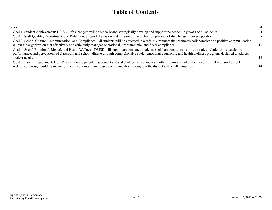## **Table of Contents**

| Goals                                                                                                                                                                                                                                                                                                                                                |    |
|------------------------------------------------------------------------------------------------------------------------------------------------------------------------------------------------------------------------------------------------------------------------------------------------------------------------------------------------------|----|
| Goal 1: Student Achievement: DSISD Life Changers will holistically and strategically develop and support the academic growth of all students.                                                                                                                                                                                                        |    |
| Goal 2: Staff Quality, Recruitment, and Retention: Support the vision and mission of the district by placing a Life Changer in every position.                                                                                                                                                                                                       |    |
| Goal 3: School Culture, Communication, and Compliance: All students will be educated in a safe environment that promotes collaborative and positive communication<br>within the organization that effectively and efficiently manages operational, programmatic, and fiscal compliance.                                                              | 10 |
| Goal 4: Social-Emotional, Mental, and Health Wellness: DSISD will support and enhance students' social and emotional skills, attitudes, relationships, academic<br>performance, and perceptions of classroom and school climate through comprehensive social-emotional/counseling and health wellness programs designed to address<br>student needs. | 12 |
| Goal 5: Parent Engagement: DSISD will increase parent engagement and stakeholder involvement at both the campus and district level by making families feel<br>welcomed through building meaningful connections and increased communication throughout the district and on all campuses.                                                              | 14 |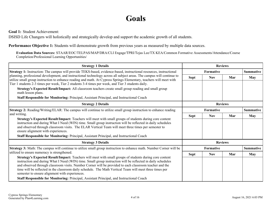## **Goals**

<span id="page-3-0"></span>**Goal 1:** Student Achievement:

DSISD Life Changers will holistically and strategically develop and support the academic growth of all students.

**Performance Objective 1:** Students will demonstrate growth from previous years as measured by multiple data sources.

**Evaluation Data Sources:** STAAR/EOC/TELPAS/MAP/DRA/CLI Engage/TPRI/Tejas Lee/TX KEA/Common Formative Assessments/Attendance/Course Completion/Professional Learning Opportunities/

| <b>Strategy 1 Details</b>                                                                                                                                                                                                                                                                                                                                                                                                                                                                                                                                                                    | <b>Reviews</b> |            |                |                  |
|----------------------------------------------------------------------------------------------------------------------------------------------------------------------------------------------------------------------------------------------------------------------------------------------------------------------------------------------------------------------------------------------------------------------------------------------------------------------------------------------------------------------------------------------------------------------------------------------|----------------|------------|----------------|------------------|
| Strategy 1: Instruction: The campus will provide TEKS-based, evidence-based, instructional resources, instructional                                                                                                                                                                                                                                                                                                                                                                                                                                                                          |                | Formative  |                |                  |
| planning, professional development, and instructional technology across all subject areas. The campus will continue to<br>utilize small group instruction to enhance reading and math. At Cypress Springs Elementary, teachers will meet with<br>Tier 1 students 2-3 times per week, Tier 2 students 3-4 times per week, and Tier 3 students daily.                                                                                                                                                                                                                                          | <b>Sept</b>    | <b>Nov</b> | Mar            | <b>May</b>       |
| Strategy's Expected Result/Impact: All classroom teachers create small group reading and small group<br>math lesson plans.                                                                                                                                                                                                                                                                                                                                                                                                                                                                   |                |            |                |                  |
| Staff Responsible for Monitoring: Principal, Assistant Principal, and Instructional Coach                                                                                                                                                                                                                                                                                                                                                                                                                                                                                                    |                |            |                |                  |
| <b>Strategy 2 Details</b>                                                                                                                                                                                                                                                                                                                                                                                                                                                                                                                                                                    | <b>Reviews</b> |            |                |                  |
| Strategy 2: Reading/Writing/ELAR: The campus will continue to utilize small group instruction to enhance reading                                                                                                                                                                                                                                                                                                                                                                                                                                                                             | Formative      |            |                | Summative        |
| and writing.                                                                                                                                                                                                                                                                                                                                                                                                                                                                                                                                                                                 | <b>Sept</b>    | <b>Nov</b> | Mar            | May              |
| Strategy's Expected Result/Impact: Teachers will meet with small groups of students during core content<br>instruction and during What I Need (WIN) time. Small group instruction will be reflected in daily schedules<br>and observed through classroom visits. The ELAR Vertical Team will meet three times per semester to<br>ensure alignment with experiences.<br>Staff Responsible for Monitoring: Principal, Assistant Principal, and Instructional Coach                                                                                                                             |                |            |                |                  |
| <b>Strategy 3 Details</b>                                                                                                                                                                                                                                                                                                                                                                                                                                                                                                                                                                    |                |            | <b>Reviews</b> |                  |
| Strategy 3: Math: The campus will continue to utilize small group instruction to enhance math. Number Corner will be                                                                                                                                                                                                                                                                                                                                                                                                                                                                         |                | Formative  |                | <b>Summative</b> |
| utilized to ensure numeracy is strengthened.                                                                                                                                                                                                                                                                                                                                                                                                                                                                                                                                                 | <b>Sept</b>    | <b>Nov</b> | Mar            | <b>May</b>       |
| Strategy's Expected Result/Impact: Teachers will meet with small groups of students during core content<br>instruction and during What I Need (WIN) time. Small group instruction will be reflected in daily schedules<br>and observed through classroom visits. Number Corner will be provided to each classroom teacher and the<br>time will be reflected in the classroom daily schedule. The Math Vertical Team will meet three times per<br>semester to ensure alignment with experiences.<br>Staff Responsible for Monitoring: Principal, Assistant Principal, and Instructional Coach |                |            |                |                  |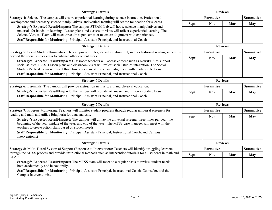| <b>Strategy 4 Details</b>                                                                                                                                                                                                                                                                                                                                                                                                                                                                                               |                  | <b>Reviews</b>   |                |                  |
|-------------------------------------------------------------------------------------------------------------------------------------------------------------------------------------------------------------------------------------------------------------------------------------------------------------------------------------------------------------------------------------------------------------------------------------------------------------------------------------------------------------------------|------------------|------------------|----------------|------------------|
| Strategy 4: Science: The campus will ensure experiential learning during science instruction. Professional                                                                                                                                                                                                                                                                                                                                                                                                              |                  | <b>Formative</b> |                | <b>Summative</b> |
| Development and necessary science manipulatives, and vertical teaming will set the foundation for success.<br>Strategy's Expected Result/Impact: The campus STEAM Lab will house science manipulatives and<br>materials for hands-on learning. Lesson plans and classroom visits will reflect experiential learning. The<br>Science Vertical Team will meet three times per semester to ensure alignment with experiences.<br>Staff Responsible for Monitoring: Principal, Assistant Principal, and Instructional Coach | <b>Sept</b>      | <b>Nov</b>       | Mar            | <b>May</b>       |
| <b>Strategy 5 Details</b>                                                                                                                                                                                                                                                                                                                                                                                                                                                                                               |                  |                  | <b>Reviews</b> |                  |
| Strategy 5: Social Studies/Humanities: The campus will integrate information text, such as historical reading selections                                                                                                                                                                                                                                                                                                                                                                                                |                  | Formative        |                | <b>Summative</b> |
| beyond the social studies class to enhance other content areas.<br>Strategy's Expected Result/Impact: Classroom teachers will access content such as NewsELA to support<br>social studies TEKS. Lesson plans and classroom visits will reflect social studies integration. The Social<br>Studies Vertical Team will meet three times per semester to ensure alignment with reading selections.<br>Staff Responsible for Monitoring: Principal, Assistant Principal, and Instructional Coach                             | <b>Sept</b>      | <b>Nov</b>       | Mar            | <b>May</b>       |
| <b>Strategy 6 Details</b>                                                                                                                                                                                                                                                                                                                                                                                                                                                                                               | <b>Reviews</b>   |                  |                |                  |
| Strategy 6: Essentials: The campus will provide instruction in music, art, and physical education.                                                                                                                                                                                                                                                                                                                                                                                                                      | <b>Formative</b> |                  |                | <b>Summative</b> |
| Strategy's Expected Result/Impact: The campus will provide art, music, and PE on a rotating basis.<br>Staff Responsible for Monitoring: Principal, Assistant Principal, and Instructional Coach                                                                                                                                                                                                                                                                                                                         | <b>Sept</b>      | <b>Nov</b>       | Mar            | May              |
| <b>Strategy 7 Details</b>                                                                                                                                                                                                                                                                                                                                                                                                                                                                                               |                  |                  | <b>Reviews</b> |                  |
| Strategy 7: Progress Monitoring: Teachers will monitor student progress through regular universal screeners for                                                                                                                                                                                                                                                                                                                                                                                                         |                  | Formative        |                | <b>Summative</b> |
| reading and math and utilize Eduphoria for data analysis.<br>Strategy's Expected Result/Impact: The campus will utilize the universal screener three times per year: the<br>beginning of the year, middle of the year, and end of the year. The MTSS case manager will meet with the<br>teachers to create action plans based on student needs.<br>Staff Responsible for Monitoring: Principal, Assistant Principal, Instructional Coach, and Campus<br>Interventionist                                                 | <b>Sept</b>      | <b>Nov</b>       | Mar            | <b>May</b>       |
| <b>Strategy 8 Details</b>                                                                                                                                                                                                                                                                                                                                                                                                                                                                                               |                  | <b>Reviews</b>   |                |                  |
| Strategy 8: Multi-Tiered System of Support (Response to Intervention): Teachers will identify struggling learners                                                                                                                                                                                                                                                                                                                                                                                                       |                  | Formative        |                | <b>Summative</b> |
| through the MTSS process and provide instructional methods such as intervention/tutorials for all students in math and<br>ELAR.<br>Strategy's Expected Result/Impact: The MTSS team will meet on a regular basis to review student needs<br>both academically and behaviorally.<br>Staff Responsible for Monitoring: Principal, Assistant Principal. Instructional Coach, Counselor, and the                                                                                                                            | <b>Sept</b>      | <b>Nov</b>       | Mar            | <b>May</b>       |
| Campus Interventionist                                                                                                                                                                                                                                                                                                                                                                                                                                                                                                  |                  |                  |                |                  |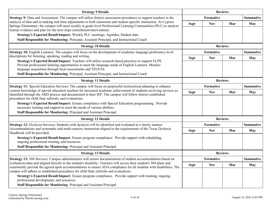| <b>Strategy 9 Details</b>                                                                                                                                                                                                                                                                                                                                            |             | <b>Reviews</b>   |                |                  |
|----------------------------------------------------------------------------------------------------------------------------------------------------------------------------------------------------------------------------------------------------------------------------------------------------------------------------------------------------------------------|-------------|------------------|----------------|------------------|
| Strategy 9: Data and Assessment: The campus will utilize district assessment procedures to support teachers in the                                                                                                                                                                                                                                                   |             | Formative        |                | <b>Summative</b> |
| analysis of data and in making real-time adjustments to both classroom and student-specific instruction. At Cypress<br>Springs Elementary, the campus will meet weekly in grade level Professional Learning Communities (PLC) to analyze<br>learner evidence and plan for the next steps (enrichment/intervention).                                                  | <b>Sept</b> | <b>Nov</b>       | Mar            | <b>May</b>       |
| Strategy's Expected Result/Impact: Weekly PLC meetings; Agendas; Student data                                                                                                                                                                                                                                                                                        |             |                  |                |                  |
| Staff Responsible for Monitoring: Principal, Assistant Principal, and Instructional Coach                                                                                                                                                                                                                                                                            |             |                  |                |                  |
| <b>Strategy 10 Details</b>                                                                                                                                                                                                                                                                                                                                           |             |                  | <b>Reviews</b> |                  |
| Strategy 10: English Learners: The campus will focus on the development of academic language proficiency level                                                                                                                                                                                                                                                       |             | <b>Formative</b> |                | <b>Summative</b> |
| descriptions for listening, speaking, reading and writing.                                                                                                                                                                                                                                                                                                           | <b>Sept</b> | <b>Nov</b>       | Mar            | <b>May</b>       |
| Strategy's Expected Result/Impact: Teachers will utilize research-based practices to support ELPS.<br>Provide professional learning opportunities to meet the language needs of English Learners. Monitor<br>language acquisition through local assessments and TELPAS.<br>Staff Responsible for Monitoring: Principal, Assistant Principal, and Instructional Coach |             |                  |                |                  |
| <b>Strategy 11 Details</b>                                                                                                                                                                                                                                                                                                                                           |             | <b>Reviews</b>   |                |                  |
| Strategy 11: Special Education Services: The campus will focus on purposeful instructional planning to enhance                                                                                                                                                                                                                                                       | Formative   |                  |                | <b>Summative</b> |
| content knowledge of special education teachers for increased academic achievement of students receiving services as<br>identified through the ARD process and documented in their IEP. The campus will follow district established<br>procedures for child find, referrals, and evaluations.                                                                        | <b>Sept</b> | <b>Nov</b>       | Mar            | <b>May</b>       |
| Strategy's Expected Result/Impact: Ensure compliance with Special Education programming. Provide<br>necessary training and support to meet the needs of various abilities.<br>Staff Responsible for Monitoring: Principal and Assistant Principal                                                                                                                    |             |                  |                |                  |
|                                                                                                                                                                                                                                                                                                                                                                      |             |                  |                |                  |
| <b>Strategy 12 Details</b>                                                                                                                                                                                                                                                                                                                                           |             |                  | <b>Reviews</b> |                  |
| Strategy 12: Dyslexia Services: Students with dyslexia will be identified and evaluated in a timely manner.<br>Accommodations and systematic and multi-sensory instruction aligned to the requirements of the Texas Dyslexia                                                                                                                                         |             | Formative        |                | <b>Summative</b> |
| Handbook will be provided.                                                                                                                                                                                                                                                                                                                                           | <b>Sept</b> | <b>Nov</b>       | Mar            | <b>May</b>       |
| Strategy's Expected Result/Impact: Ensure program compliance. Provide support with scheduling,<br>ongoing professional training, and resources.                                                                                                                                                                                                                      |             |                  |                |                  |
| Staff Responsible for Monitoring: Principal and Assistant Principal                                                                                                                                                                                                                                                                                                  |             |                  |                |                  |
| <b>Strategy 13 Details</b>                                                                                                                                                                                                                                                                                                                                           |             | <b>Reviews</b>   |                |                  |
| Strategy 13: 504 Services: Campus administrators will ensure documentation of student accommodations based on                                                                                                                                                                                                                                                        |             | Formative        |                | <b>Summative</b> |
| evaluations/data and aligned directly to the student's disability. Teachers will access their student's 504 plans and<br>consistently provide the agreed upon accommodations to ensure ADA compliance for all students with disabilities. The<br>campus will adhere to established procedures for child find, referrals and evaluations.                             | <b>Sept</b> | <b>Nov</b>       | Mar            | <b>May</b>       |
| Strategy's Expected Result/Impact: Ensure program compliance. Provide support with training, ongoing<br>professional development, and resources.                                                                                                                                                                                                                     |             |                  |                |                  |
| Staff Responsible for Monitoring: Principal and Assistant Principal                                                                                                                                                                                                                                                                                                  |             |                  |                |                  |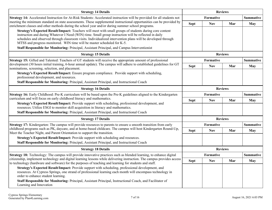| <b>Strategy 14 Details</b>                                                                                                                                                                                                                                                                                                                                                                                                                                                                                  |             | <b>Reviews</b>                |                |                         |  |
|-------------------------------------------------------------------------------------------------------------------------------------------------------------------------------------------------------------------------------------------------------------------------------------------------------------------------------------------------------------------------------------------------------------------------------------------------------------------------------------------------------------|-------------|-------------------------------|----------------|-------------------------|--|
| Strategy 14: Accelerated Instruction for At-Risk Students: Accelerated instruction will be provided for all students not                                                                                                                                                                                                                                                                                                                                                                                    |             | <b>Formative</b>              |                |                         |  |
| meeting the minimum standard on state assessments. These supplemental instructional opportunities can be provided by<br>enrichment classes and other methods during the school year and/or during summer school programs.                                                                                                                                                                                                                                                                                   | <b>Sept</b> | <b>Nov</b>                    | Mar            | <b>May</b>              |  |
| Strategy's Expected Result/Impact: Teachers will meet with small groups of students during core content<br>instruction and during Whatever I Need (WIN) time. Small group instruction will be reflected in daily<br>schedules and observed through classroom visits. Individualized intervention plans will be developed through<br>MTSS and progress monitored. WIN time will be master scheduled for K-5.<br>Staff Responsible for Monitoring: Principal, Assistant Principal, and Campus Interventionist |             |                               |                |                         |  |
| <b>Strategy 15 Details</b>                                                                                                                                                                                                                                                                                                                                                                                                                                                                                  |             |                               | <b>Reviews</b> |                         |  |
| <b>Strategy 15:</b> Gifted and Talented: Teachers of GT students will receive the appropriate amount of professional                                                                                                                                                                                                                                                                                                                                                                                        |             | <b>Formative</b>              |                |                         |  |
| development (30 hours initial training, 6-hour annual update). The campus will adhere to established guidelines for GT<br>nominations, screening, selection, and placement.                                                                                                                                                                                                                                                                                                                                 | <b>Sept</b> | <b>Nov</b>                    | Mar            | <b>Summative</b><br>May |  |
| Strategy's Expected Result/Impact: Ensure program compliance. Provide support with scheduling,<br>professional development, and resources.                                                                                                                                                                                                                                                                                                                                                                  |             |                               |                |                         |  |
| Staff Responsible for Monitoring: Principal, Assistant Principal, and Instructional Coach                                                                                                                                                                                                                                                                                                                                                                                                                   |             |                               |                |                         |  |
| <b>Strategy 16 Details</b>                                                                                                                                                                                                                                                                                                                                                                                                                                                                                  |             | <b>Reviews</b>                |                |                         |  |
| Strategy 16: Early Childhood: Pre-K curriculum will be based upon the Pre-K guidelines aligned to the Kindergarten<br>curriculum and will focus on early childhood literacy and mathematics.<br>Strategy's Expected Result/Impact: Provide support with scheduling, professional development, and                                                                                                                                                                                                           |             | Formative<br><b>Summative</b> |                |                         |  |
|                                                                                                                                                                                                                                                                                                                                                                                                                                                                                                             | <b>Sept</b> | <b>Nov</b>                    | Mar            | May                     |  |
| resources. Utilize ESGI to monitor skill acquisition in literacy and mathematics.                                                                                                                                                                                                                                                                                                                                                                                                                           |             |                               |                |                         |  |
| Staff Responsible for Monitoring: Principal, Assistant Principal, and Instructional Coach                                                                                                                                                                                                                                                                                                                                                                                                                   |             |                               |                |                         |  |
| <b>Strategy 17 Details</b>                                                                                                                                                                                                                                                                                                                                                                                                                                                                                  |             |                               | <b>Reviews</b> |                         |  |
| Strategy 17: Kindergarten: The campus will provide resources to parents to ensure a smooth transition from early                                                                                                                                                                                                                                                                                                                                                                                            |             | Formative                     |                | <b>Summative</b>        |  |
| childhood programs such as PK, daycare, and at home-based childcare. The campus will host Kindergarten Round-Up,<br>Meet the Teacher Night, and Parent Orientation to support the transition.                                                                                                                                                                                                                                                                                                               | <b>Sept</b> | <b>Nov</b>                    | Mar            | <b>May</b>              |  |
| Strategy's Expected Result/Impact: Provide support with scheduling and resources.                                                                                                                                                                                                                                                                                                                                                                                                                           |             |                               |                |                         |  |
| Staff Responsible for Monitoring: Principal, Assistant Principal, and Instructional Coach                                                                                                                                                                                                                                                                                                                                                                                                                   |             |                               |                |                         |  |
| <b>Strategy 18 Details</b>                                                                                                                                                                                                                                                                                                                                                                                                                                                                                  |             |                               | <b>Reviews</b> |                         |  |
| <b>Strategy 18:</b> Technology: The campus will provide innovative practices such as blended learning, to enhance digital                                                                                                                                                                                                                                                                                                                                                                                   |             | <b>Formative</b>              |                | Summative               |  |
| citizenship, implement technology and digital learning lessons while delivering instruction. The campus provides access<br>to technology (hardware and software) for the purposes of teaching and learning for students and staff.                                                                                                                                                                                                                                                                          | <b>Sept</b> | <b>Nov</b>                    | Mar            | May                     |  |
| Strategy's Expected Result/Impact: Provide support with scheduling, professional development, and<br>resources. At Cypress Springs, one strand of professional learning each month will encompass technology in<br>order to enhance student learning.                                                                                                                                                                                                                                                       |             |                               |                |                         |  |
| Staff Responsible for Monitoring: Principal, Assistant Principal, Instructional Coach, and Facilitator of<br>Learning and Innovation                                                                                                                                                                                                                                                                                                                                                                        |             |                               |                |                         |  |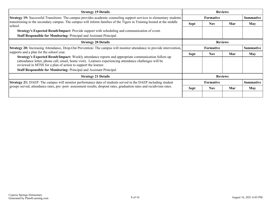| <b>Strategy 19 Details</b>                                                                                                                                                                                                                                                       | <b>Reviews</b>   |                                      |     |                  |
|----------------------------------------------------------------------------------------------------------------------------------------------------------------------------------------------------------------------------------------------------------------------------------|------------------|--------------------------------------|-----|------------------|
| Strategy 19: Successful Transitions: The campus provides academic counseling support services to elementary students                                                                                                                                                             |                  | <b>Formative</b>                     |     | <b>Summative</b> |
| transitioning to the secondary campus. The campus will inform families of the Tigers in Training hosted at the middle<br>school.                                                                                                                                                 | <b>Sept</b>      | <b>Nov</b>                           | Mar | May              |
| Strategy's Expected Result/Impact: Provide support with scheduling and communication of event.                                                                                                                                                                                   |                  |                                      |     |                  |
| Staff Responsible for Monitoring: Principal and Assistant Principal                                                                                                                                                                                                              |                  |                                      |     |                  |
| <b>Strategy 20 Details</b>                                                                                                                                                                                                                                                       | <b>Reviews</b>   |                                      |     |                  |
| Strategy 20: Increasing Attendance, Drop-Out Prevention: The campus will monitor attendance to provide intervention,<br>supports and a plan for the school year.                                                                                                                 |                  | <b>Summative</b><br><b>Formative</b> |     |                  |
|                                                                                                                                                                                                                                                                                  | Sept             | <b>Nov</b>                           | Mar | <b>May</b>       |
| Strategy's Expected Result/Impact: Weekly attendance reports and appropriate communication follow-up<br>(attendance letter, phone call, email, home visit). Learners experiencing attendance challenges will be<br>reviewed in MTSS for a plan of action to support the learner. |                  |                                      |     |                  |
| <b>Staff Responsible for Monitoring: Principal and Assistant Principal</b>                                                                                                                                                                                                       |                  |                                      |     |                  |
| <b>Strategy 21 Details</b>                                                                                                                                                                                                                                                       | <b>Reviews</b>   |                                      |     |                  |
| <b>Strategy 21:</b> DAEP: The campus will monitor performance data of students served in the DAEP including student                                                                                                                                                              | <b>Formative</b> |                                      |     | <b>Summative</b> |
| groups served, attendance rates, pre- post- assessment results, dropout rates, graduation rates and recidivism rates.                                                                                                                                                            | <b>Sept</b>      | <b>Nov</b>                           | Mar | May              |
|                                                                                                                                                                                                                                                                                  |                  |                                      |     |                  |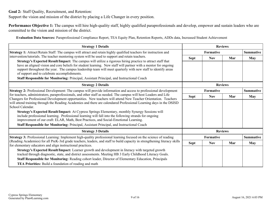<span id="page-8-0"></span>**Goal 2:** Staff Quality, Recruitment, and Retention:

Support the vision and mission of the district by placing a Life Changer in every position.

**Performance Objective 1:** The campus will hire high-quality staff, highly qualified paraprofessionals and develop, empower and sustain leaders who are committed to the vision and mission of the district.

**Evaluation Data Sources:** Paraprofessional Compliance Report, TEA Equity Plan, Retention Reports, ADDs data, Increased Student Achievement

| <b>Strategy 1 Details</b>                                                                                                                                                                                                                                                                                                                                                                                                                                                                  |                               | <b>Reviews</b> |     |                  |
|--------------------------------------------------------------------------------------------------------------------------------------------------------------------------------------------------------------------------------------------------------------------------------------------------------------------------------------------------------------------------------------------------------------------------------------------------------------------------------------------|-------------------------------|----------------|-----|------------------|
| <b>Strategy 1:</b> Attract/Retain Staff: The campus will attract and retain highly qualified teachers for instruction and                                                                                                                                                                                                                                                                                                                                                                  |                               | Formative      |     | <b>Summative</b> |
| intervention/tutorials. The teacher mentoring system will be used to support and retain teachers.                                                                                                                                                                                                                                                                                                                                                                                          | <b>Sept</b>                   | <b>Nov</b>     | Mar | May              |
| Strategy's Expected Result/Impact: The campus will utilize a rigorous hiring practice to attract staff that<br>have an aligned vision and core beliefs for student learning. New staff will partner with a mentor for ongoing<br>support throughout the year. The campus leadership team will meet quarterly with new staff to identify areas<br>of support and to celebrate accomplishments.<br>Staff Responsible for Monitoring: Principal, Assistant Principal, and Instructional Coach |                               |                |     |                  |
| <b>Strategy 2 Details</b>                                                                                                                                                                                                                                                                                                                                                                                                                                                                  | <b>Reviews</b>                |                |     |                  |
| <b>Strategy 2:</b> Professional Development: The campus will provide information and access to professional development                                                                                                                                                                                                                                                                                                                                                                    | <b>Summative</b><br>Formative |                |     |                  |
| for teachers, administrators, paraprofessionals, and other staff as needed. The campus will host Leaders and Life<br>Changers for Professional Development opportunities. New teachers will attend New Teacher Orientation. Teachers                                                                                                                                                                                                                                                       | <b>Sept</b>                   | <b>Nov</b>     | Mar | <b>May</b>       |
| will attend training through the Reading Academies and there are calendared Professional Learning days in the DSISD<br>School Calendar.                                                                                                                                                                                                                                                                                                                                                    |                               |                |     |                  |
| Strategy's Expected Result/Impact: At Cypress Springs Elementary, monthly Synergy Sessions will<br>include professional learning. Professional learning will fall into the following strands for ongoing<br>improvement of our craft: ELAR, Math, Best Practices, and Social-Emotional Learning.                                                                                                                                                                                           |                               |                |     |                  |
| Staff Responsible for Monitoring: Principal, Assistant Principal, and Instructional Coach                                                                                                                                                                                                                                                                                                                                                                                                  |                               |                |     |                  |
| <b>Strategy 3 Details</b>                                                                                                                                                                                                                                                                                                                                                                                                                                                                  |                               | <b>Reviews</b> |     |                  |
| Strategy 3: Professional Learning: Implement high-quality professional learning focused on the science of reading                                                                                                                                                                                                                                                                                                                                                                          |                               | Formative      |     | <b>Summative</b> |
| (Reading Academies) for all PreK-3rd grade teachers, leaders, and staff to build capacity in strengthening literacy skills<br>for elementary educators and align instructional practices.                                                                                                                                                                                                                                                                                                  | <b>Sept</b>                   | <b>Nov</b>     | Mar | <b>May</b>       |
| Strategy's Expected Result/Impact: Learner growth and development in literacy with targeted growth<br>tracked through diagnostic, state, and district assessments. Meeting HB 3 Early Childhood Literacy Goals.                                                                                                                                                                                                                                                                            |                               |                |     |                  |
| Staff Responsible for Monitoring: Reading cohort leader, Director of Elementary Education, Principals                                                                                                                                                                                                                                                                                                                                                                                      |                               |                |     |                  |
| <b>TEA Priorities:</b> Build a foundation of reading and math                                                                                                                                                                                                                                                                                                                                                                                                                              |                               |                |     |                  |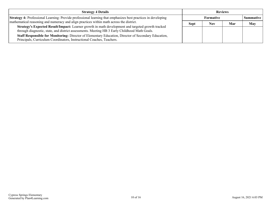| <b>Strategy 4 Details</b>                                                                                                                                                                          | <b>Reviews</b> |                  |     |                  |
|----------------------------------------------------------------------------------------------------------------------------------------------------------------------------------------------------|----------------|------------------|-----|------------------|
| <b>Strategy 4:</b> Professional Learning: Provide professional learning that emphasizes best practices in developing                                                                               |                | <b>Formative</b> |     | <b>Summative</b> |
| mathematical reasoning and numeracy and align practices within math across the district.                                                                                                           | <b>Sept</b>    | <b>Nov</b>       | Mar | May              |
| Strategy's Expected Result/Impact: Learner growth in math development and targeted growth tracked<br>through diagnostic, state, and district assessments. Meeting HB 3 Early Childhood Math Goals. |                |                  |     |                  |
| <b>Staff Responsible for Monitoring:</b> Director of Elementary Education, Director of Secondary Education,<br>Principals, Curriculum Coordinators, Instructional Coaches, Teachers.               |                |                  |     |                  |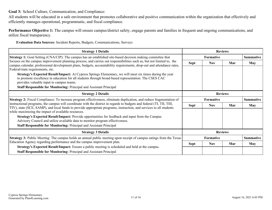<span id="page-10-0"></span>**Goal 3:** School Culture, Communication, and Compliance:

All students will be educated in a safe environment that promotes collaborative and positive communication within the organization that effectively and efficiently manages operational, programmatic, and fiscal compliance.

**Performance Objective 1:** The campus will ensure campus/district safety, engage parents and families in frequent and ongoing communications, and utilize fiscal transparency.

**Evaluation Data Sources:** Incident Reports, Budgets, Communications, Surveys

| <b>Strategy 1 Details</b>                                                                                                                                                                                                                                                          |                               | <b>Reviews</b>                       |                |                  |
|------------------------------------------------------------------------------------------------------------------------------------------------------------------------------------------------------------------------------------------------------------------------------------|-------------------------------|--------------------------------------|----------------|------------------|
| <b>Strategy 1:</b> Goal Setting (CNA/CIP): The campus has an established site-based decision making committee that                                                                                                                                                                 |                               | Formative                            |                | <b>Summative</b> |
| focuses on the campus improvement planning process, and carries out responsibilities such as, but not limited to, the<br>campus calendar, professional development plans, budgets, accountability requirements, drop-out and attendance rates,<br>Federal/state requirements, etc. | Sept                          | <b>Nov</b>                           | Mar            | May              |
| Strategy's Expected Result/Impact: At Cypress Springs Elementary, we will meet six times during the year<br>to promote excellence in education for all students through broad-based representation. The CSES CAC<br>provides valuable input to campus teams.                       |                               |                                      |                |                  |
| <b>Staff Responsible for Monitoring: Principal and Assistant Principal</b>                                                                                                                                                                                                         |                               |                                      |                |                  |
| <b>Strategy 2 Details</b>                                                                                                                                                                                                                                                          | <b>Reviews</b>                |                                      |                |                  |
| <b>Strategy 2:</b> Fiscal Compliance: To increase program effectiveness, eliminate duplication, and reduce fragmentation of                                                                                                                                                        | Formative<br><b>Summative</b> |                                      |                |                  |
| instructional programs, the campus will coordinate with the district in regards to budgets and federal (TI, TII, TIII,<br>TIV), state (SCE, SAMP), and local funds to provide appropriate programs, instruction, and services to all students                                      | Sept                          | <b>Nov</b>                           | Mar            | <b>May</b>       |
| while maximizing the impact of available resources.                                                                                                                                                                                                                                |                               |                                      |                |                  |
| Strategy's Expected Result/Impact: Provide opportunities for feedback and input from the Campus<br>Advisory Council and utilize available data to monitor program effectiveness.                                                                                                   |                               |                                      |                |                  |
| <b>Staff Responsible for Monitoring: Principal and Assistant Principal</b>                                                                                                                                                                                                         |                               |                                      |                |                  |
| <b>Strategy 3 Details</b>                                                                                                                                                                                                                                                          |                               |                                      | <b>Reviews</b> |                  |
| Strategy 3: Public Meeting: The campus holds an annual public meeting upon receipt of campus ratings from the Texas                                                                                                                                                                |                               | <b>Formative</b><br><b>Summative</b> |                |                  |
| Education Agency regarding performance and the campus improvement plan.                                                                                                                                                                                                            | <b>Sept</b>                   | <b>Nov</b>                           | Mar            | May              |
| <b>Strategy's Expected Result/Impact:</b> Ensure a public meeting is scheduled and held at the campus.                                                                                                                                                                             |                               |                                      |                |                  |
| <b>Staff Responsible for Monitoring: Principal and Assistant Principal</b>                                                                                                                                                                                                         |                               |                                      |                |                  |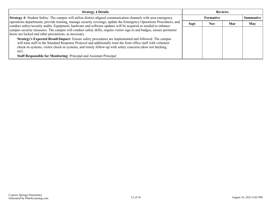| <b>Strategy 4 Details</b>                                                                                                                                                                                                                                                                                                                     | <b>Reviews</b> |                  |     |            |
|-----------------------------------------------------------------------------------------------------------------------------------------------------------------------------------------------------------------------------------------------------------------------------------------------------------------------------------------------|----------------|------------------|-----|------------|
| Strategy 4: Student Safety: The campus will utilize district aligned communication channels with area emergency                                                                                                                                                                                                                               |                | <b>Summative</b> |     |            |
| operations departments, provide training, manage security coverage, update the Emergency Operations Procedures, and<br>conduct safety/security audits. Equipment, hardware and software updates will be acquired as needed to enhance                                                                                                         | <b>Sept</b>    | Nov              | Mar | <b>May</b> |
| campus security measures. The campus will conduct safety drills, require visitor sign in and badges, ensure perimeter<br>doors are locked and other precautions, as necessary.                                                                                                                                                                |                |                  |     |            |
| Strategy's Expected Result/Impact: Ensure safety procedures are implemented and followed. The campus<br>will train staff in the Standard Response Protocol and additionally train the front office staff with volunteer<br>check-in systems, visitor check-in systems, and timely follow-up with safety concerns (door not latching,<br>etc). |                |                  |     |            |
| <b>Staff Responsible for Monitoring: Principal and Assistant Principal</b>                                                                                                                                                                                                                                                                    |                |                  |     |            |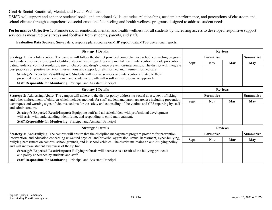<span id="page-12-0"></span>**Goal 4:** Social-Emotional, Mental, and Health Wellness:

DSISD will support and enhance students' social and emotional skills, attitudes, relationships, academic performance, and perceptions of classroom and school climate through comprehensive social-emotional/counseling and health wellness programs designed to address student needs.

**Performance Objective 1:** Promote social-emotional, mental, and health wellness for all students by increasing access to developed responsive support services as measured by surveys and feedback from students, parents, and staff.

**Evaluation Data Sources:** Survey data, response plans, counselor/MHP support data/MTSS operational reports,

| <b>Strategy 1 Details</b>                                                                                                                                                                                                                                 |                  | <b>Reviews</b>   |                |                  |  |
|-----------------------------------------------------------------------------------------------------------------------------------------------------------------------------------------------------------------------------------------------------------|------------------|------------------|----------------|------------------|--|
| <b>Strategy 1:</b> Early Intervention: The campus will follow the district provided comprehensive school counseling program                                                                                                                               | <b>Formative</b> |                  |                | <b>Summative</b> |  |
| and guidance services to support identified student needs regarding early mental health intervention, suicide prevention,<br>dating violence, conflict resolution, use of tobacco, and drug/violence prevention/intervention. The district will integrate | <b>Sept</b>      | <b>Nov</b>       | Mar            | <b>May</b>       |  |
| best practices on positive behavior interventions and support, grief-informed and trauma-informed care.                                                                                                                                                   |                  |                  |                |                  |  |
| Strategy's Expected Result/Impact: Students will receive services and interventions related to their                                                                                                                                                      |                  |                  |                |                  |  |
| presented needs. Social, emotional, and academic growth will result in this responsive approach.                                                                                                                                                          |                  |                  |                |                  |  |
| Staff Responsible for Monitoring: Principal and Assistant Principal                                                                                                                                                                                       |                  |                  |                |                  |  |
| <b>Strategy 2 Details</b>                                                                                                                                                                                                                                 |                  | <b>Reviews</b>   |                |                  |  |
| <b>Strategy 2:</b> Addressing Abuse: The campus will adhere to the district policy addressing sexual abuse, sex trafficking,                                                                                                                              | Formative        |                  |                | <b>Summative</b> |  |
| and other maltreatment of children which includes methods for staff, student and parent awareness including prevention<br>techniques and warning signs of victims, actions for the safety and counseling of the victims and CPS reporting by staff        | Sept             | <b>Nov</b>       | Mar            | <b>May</b>       |  |
| and administrators.                                                                                                                                                                                                                                       |                  |                  |                |                  |  |
| Strategy's Expected Result/Impact: Equipping staff and all stakeholders with professional development                                                                                                                                                     |                  |                  |                |                  |  |
| will assist with understanding, identifying, and responding to child maltreatment.                                                                                                                                                                        |                  |                  |                |                  |  |
| Staff Responsible for Monitoring: Principal and Assistant Principal                                                                                                                                                                                       |                  |                  |                |                  |  |
| <b>Strategy 3 Details</b>                                                                                                                                                                                                                                 |                  |                  | <b>Reviews</b> |                  |  |
| Strategy 3: Anti-Bullying: The campus will ensure that the discipline management program provides for prevention,                                                                                                                                         |                  | <b>Formative</b> |                | <b>Summative</b> |  |
| intervention, and education concerning unwanted physical and/or verbal aggression, sexual harassment, cyber-bullying,<br>bullying harassment on campus, school grounds, and in school vehicles. The district maintains an anti-bullying policy            | <b>Sept</b>      | <b>Nov</b>       | Mar            | <b>May</b>       |  |
| and will increase student awareness of the tip line.                                                                                                                                                                                                      |                  |                  |                |                  |  |
| Strategy's Expected Result/Impact: Bullying referrals will decrease as a result of the bullying protocols<br>and policy adherence by students and staff.                                                                                                  |                  |                  |                |                  |  |
| <b>Staff Responsible for Monitoring: Principal and Assistant Principal</b>                                                                                                                                                                                |                  |                  |                |                  |  |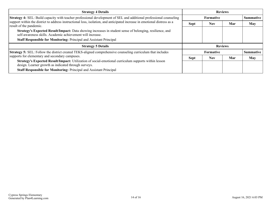| <b>Strategy 4 Details</b>                                                                                                                                              | <b>Reviews</b> |                                      |     |                  |
|------------------------------------------------------------------------------------------------------------------------------------------------------------------------|----------------|--------------------------------------|-----|------------------|
| Strategy 4: SEL: Build capacity with teacher professional development of SEL and additional professional counseling                                                    |                | <b>Formative</b>                     |     | <b>Summative</b> |
| support within the district to address instructional loss, isolation, and anticipated increase in emotional distress as a<br>result of the pandemic.                   | <b>Sept</b>    | <b>Nov</b>                           | Mar | <b>May</b>       |
| Strategy's Expected Result/Impact: Data showing increases in student sense of belonging, resilience, and<br>self-awareness skills. Academic achievement will increase. |                |                                      |     |                  |
| <b>Staff Responsible for Monitoring: Principal and Assistant Principal</b>                                                                                             |                |                                      |     |                  |
| <b>Strategy 5 Details</b>                                                                                                                                              |                | <b>Reviews</b>                       |     |                  |
| <b>Strategy 5:</b> SEL: Follow the district created TEKS-aligned comprehensive counseling curriculum that includes                                                     |                | <b>Formative</b><br><b>Summative</b> |     |                  |
| supports for elementary and secondary campuses.                                                                                                                        | <b>Sept</b>    | <b>Nov</b>                           | Mar | <b>May</b>       |
| Strategy's Expected Result/Impact: Utilization of social-emotional curriculum supports within lesson<br>design. Learner growth as indicated through surveys.           |                |                                      |     |                  |
| <b>Staff Responsible for Monitoring: Principal and Assistant Principal</b>                                                                                             |                |                                      |     |                  |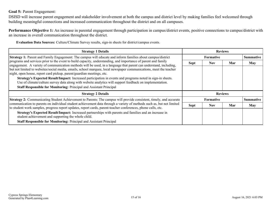### <span id="page-14-0"></span>**Goal 5:** Parent Engagement:

DSISD will increase parent engagement and stakeholder involvement at both the campus and district level by making families feel welcomed through building meaningful connections and increased communication throughout the district and on all campuses.

**Performance Objective 1:** An increase in parental engagement through participation in campus/district events, positive connections to campus/district with an increase in overall communication throughout the district.

**Evaluation Data Sources:** Culture/Climate Survey results, sign-in sheets for district/campus events.

| <b>Strategy 1 Details</b>                                                                                                                                                                                                                                                                                                                                                                                                                                                                                                                         | <b>Reviews</b>   |            |     |                  |
|---------------------------------------------------------------------------------------------------------------------------------------------------------------------------------------------------------------------------------------------------------------------------------------------------------------------------------------------------------------------------------------------------------------------------------------------------------------------------------------------------------------------------------------------------|------------------|------------|-----|------------------|
| Strategy 1: Parent and Family Engagement: The campus will educate and inform families about campus/district<br>programs and services prior to the event to build capacity, understanding, and importance of parent and family<br>engagement. A variety of communication methods will be used, in a language that parent can understand, including,<br>but not limited to websites/social media, emails, school marquee, local newspaper communications, meet the teacher<br>night, open house, report card pickup, parent/guardian meetings, etc. | <b>Formative</b> |            |     | <b>Summative</b> |
|                                                                                                                                                                                                                                                                                                                                                                                                                                                                                                                                                   | <b>Sept</b>      | <b>Nov</b> | Mar | May              |
|                                                                                                                                                                                                                                                                                                                                                                                                                                                                                                                                                   |                  |            |     |                  |
| Strategy's Expected Result/Impact: Increased participation in events and programs noted in sign-in sheets.<br>Use of climate/culture survey data along with website analytics will support feedback on implementation.                                                                                                                                                                                                                                                                                                                            |                  |            |     |                  |
| <b>Staff Responsible for Monitoring: Principal and Assistant Principal</b>                                                                                                                                                                                                                                                                                                                                                                                                                                                                        |                  |            |     |                  |
| <b>Strategy 2 Details</b>                                                                                                                                                                                                                                                                                                                                                                                                                                                                                                                         | <b>Reviews</b>   |            |     |                  |
| Strategy 2: Communicating Student Achievement to Parents: The campus will provide consistent, timely, and accurate<br>communication to parents on individual student achievement data through a variety of methods such as, but not limited<br>to student work samples, progress report updates, report cards, parent-teacher conferences, phone calls, etc.                                                                                                                                                                                      | <b>Formative</b> |            |     | <b>Summative</b> |
|                                                                                                                                                                                                                                                                                                                                                                                                                                                                                                                                                   | <b>Sept</b>      | <b>Nov</b> | Mar | May              |
| Strategy's Expected Result/Impact: Increased partnerships with parents and families and an increase in<br>student achievement and supporting the whole child.                                                                                                                                                                                                                                                                                                                                                                                     |                  |            |     |                  |
| <b>Staff Responsible for Monitoring: Principal and Assistant Principal</b>                                                                                                                                                                                                                                                                                                                                                                                                                                                                        |                  |            |     |                  |